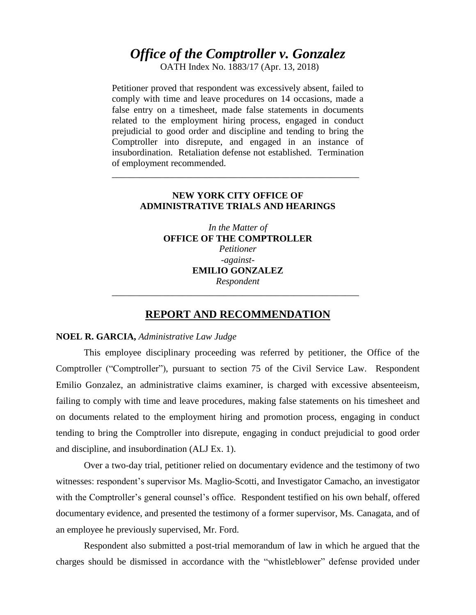# *Office of the Comptroller v. Gonzalez*

OATH Index No. 1883/17 (Apr. 13, 2018)

Petitioner proved that respondent was excessively absent, failed to comply with time and leave procedures on 14 occasions, made a false entry on a timesheet, made false statements in documents related to the employment hiring process, engaged in conduct prejudicial to good order and discipline and tending to bring the Comptroller into disrepute, and engaged in an instance of insubordination. Retaliation defense not established. Termination of employment recommended.

## **NEW YORK CITY OFFICE OF ADMINISTRATIVE TRIALS AND HEARINGS**

\_\_\_\_\_\_\_\_\_\_\_\_\_\_\_\_\_\_\_\_\_\_\_\_\_\_\_\_\_\_\_\_\_\_\_\_\_\_\_\_\_\_\_\_\_\_\_\_\_\_\_\_\_

*In the Matter of* **OFFICE OF THE COMPTROLLER** *Petitioner -against-***EMILIO GONZALEZ**  *Respondent*

### **REPORT AND RECOMMENDATION**

\_\_\_\_\_\_\_\_\_\_\_\_\_\_\_\_\_\_\_\_\_\_\_\_\_\_\_\_\_\_\_\_\_\_\_\_\_\_\_\_\_\_\_\_\_\_\_\_\_\_\_\_\_

#### **NOEL R. GARCIA,** *Administrative Law Judge*

This employee disciplinary proceeding was referred by petitioner, the Office of the Comptroller ("Comptroller"), pursuant to section 75 of the Civil Service Law. Respondent Emilio Gonzalez, an administrative claims examiner, is charged with excessive absenteeism, failing to comply with time and leave procedures, making false statements on his timesheet and on documents related to the employment hiring and promotion process, engaging in conduct tending to bring the Comptroller into disrepute, engaging in conduct prejudicial to good order and discipline, and insubordination (ALJ Ex. 1).

Over a two-day trial, petitioner relied on documentary evidence and the testimony of two witnesses: respondent's supervisor Ms. Maglio-Scotti, and Investigator Camacho, an investigator with the Comptroller's general counsel's office. Respondent testified on his own behalf, offered documentary evidence, and presented the testimony of a former supervisor, Ms. Canagata, and of an employee he previously supervised, Mr. Ford.

Respondent also submitted a post-trial memorandum of law in which he argued that the charges should be dismissed in accordance with the "whistleblower" defense provided under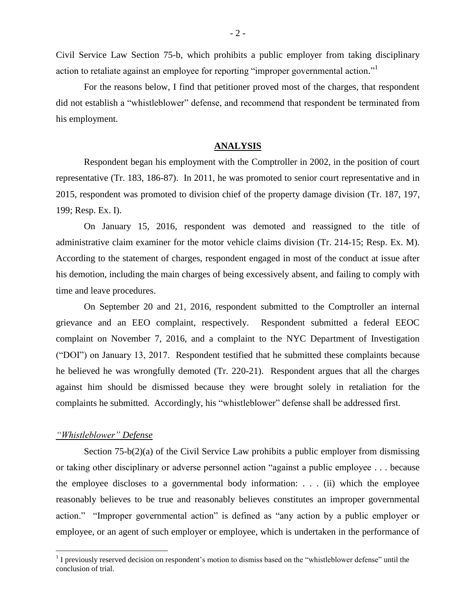Civil Service Law Section 75-b, which prohibits a public employer from taking disciplinary action to retaliate against an employee for reporting "improper governmental action."<sup>1</sup>

For the reasons below, I find that petitioner proved most of the charges, that respondent did not establish a "whistleblower" defense, and recommend that respondent be terminated from his employment.

### **ANALYSIS**

Respondent began his employment with the Comptroller in 2002, in the position of court representative (Tr. 183, 186-87). In 2011, he was promoted to senior court representative and in 2015, respondent was promoted to division chief of the property damage division (Tr. 187, 197, 199; Resp. Ex. I).

On January 15, 2016, respondent was demoted and reassigned to the title of administrative claim examiner for the motor vehicle claims division (Tr. 214-15; Resp. Ex. M). According to the statement of charges, respondent engaged in most of the conduct at issue after his demotion, including the main charges of being excessively absent, and failing to comply with time and leave procedures.

On September 20 and 21, 2016, respondent submitted to the Comptroller an internal grievance and an EEO complaint, respectively. Respondent submitted a federal EEOC complaint on November 7, 2016, and a complaint to the NYC Department of Investigation ("DOI") on January 13, 2017. Respondent testified that he submitted these complaints because he believed he was wrongfully demoted (Tr. 220-21). Respondent argues that all the charges against him should be dismissed because they were brought solely in retaliation for the complaints he submitted. Accordingly, his "whistleblower" defense shall be addressed first.

### *"Whistleblower" Defense*

 $\overline{a}$ 

Section 75-b(2)(a) of the Civil Service Law prohibits a public employer from dismissing or taking other disciplinary or adverse personnel action "against a public employee . . . because the employee discloses to a governmental body information: . . . (ii) which the employee reasonably believes to be true and reasonably believes constitutes an improper governmental action." "Improper governmental action" is defined as "any action by a public employer or employee, or an agent of such employer or employee, which is undertaken in the performance of

 $<sup>1</sup>$  I previously reserved decision on respondent's motion to dismiss based on the "whistleblower defense" until the</sup> conclusion of trial.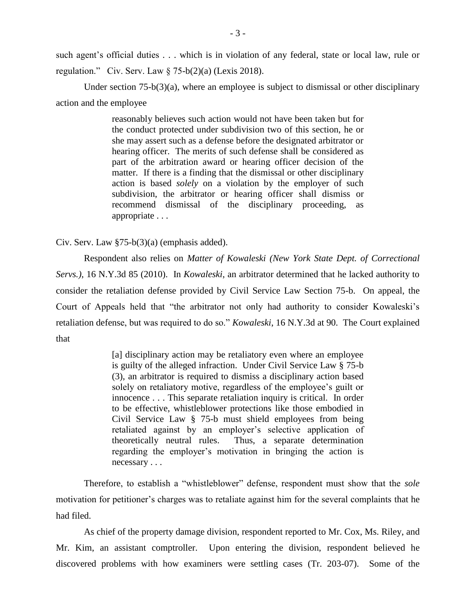such agent's official duties . . . which is in violation of any federal, state or local law, rule or regulation." Civ. Serv. Law  $\S$  75-b(2)(a) (Lexis 2018).

Under section  $75-b(3)(a)$ , where an employee is subject to dismissal or other disciplinary action and the employee

> reasonably believes such action would not have been taken but for the conduct protected under subdivision two of this section, he or she may assert such as a defense before the designated arbitrator or hearing officer. The merits of such defense shall be considered as part of the arbitration award or hearing officer decision of the matter. If there is a finding that the dismissal or other disciplinary action is based *solely* on a violation by the employer of such subdivision, the arbitrator or hearing officer shall dismiss or recommend dismissal of the disciplinary proceeding, as appropriate . . .

Civ. Serv. Law §75-b(3)(a) (emphasis added).

Respondent also relies on *Matter of Kowaleski (New York State Dept. of Correctional Servs.)*, 16 N.Y.3d 85 (2010). In *Kowaleski*, an arbitrator determined that he lacked authority to consider the retaliation defense provided by Civil Service Law Section 75-b. On appeal, the Court of Appeals held that "the arbitrator not only had authority to consider Kowaleski's retaliation defense, but was required to do so." *Kowaleski*, 16 N.Y.3d at 90. The Court explained that

> [a] disciplinary action may be retaliatory even where an employee is guilty of the alleged infraction. Under Civil Service Law § 75-b (3), an arbitrator is required to dismiss a disciplinary action based solely on retaliatory motive, regardless of the employee's guilt or innocence . . . This separate retaliation inquiry is critical. In order to be effective, whistleblower protections like those embodied in Civil Service Law § 75-b must shield employees from being retaliated against by an employer's selective application of theoretically neutral rules. Thus, a separate determination regarding the employer's motivation in bringing the action is necessary . . .

Therefore, to establish a "whistleblower" defense, respondent must show that the *sole* motivation for petitioner's charges was to retaliate against him for the several complaints that he had filed.

As chief of the property damage division, respondent reported to Mr. Cox, Ms. Riley, and Mr. Kim, an assistant comptroller. Upon entering the division, respondent believed he discovered problems with how examiners were settling cases (Tr. 203-07). Some of the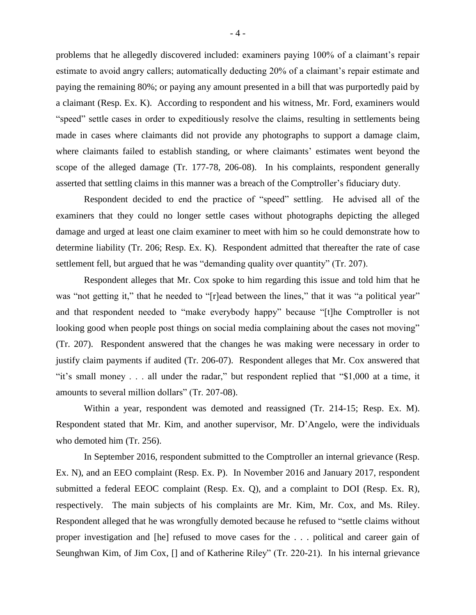problems that he allegedly discovered included: examiners paying 100% of a claimant's repair estimate to avoid angry callers; automatically deducting 20% of a claimant's repair estimate and paying the remaining 80%; or paying any amount presented in a bill that was purportedly paid by a claimant (Resp. Ex. K). According to respondent and his witness, Mr. Ford, examiners would "speed" settle cases in order to expeditiously resolve the claims, resulting in settlements being made in cases where claimants did not provide any photographs to support a damage claim, where claimants failed to establish standing, or where claimants' estimates went beyond the scope of the alleged damage (Tr. 177-78, 206-08). In his complaints, respondent generally asserted that settling claims in this manner was a breach of the Comptroller's fiduciary duty.

Respondent decided to end the practice of "speed" settling. He advised all of the examiners that they could no longer settle cases without photographs depicting the alleged damage and urged at least one claim examiner to meet with him so he could demonstrate how to determine liability (Tr. 206; Resp. Ex. K). Respondent admitted that thereafter the rate of case settlement fell, but argued that he was "demanding quality over quantity" (Tr. 207).

Respondent alleges that Mr. Cox spoke to him regarding this issue and told him that he was "not getting it," that he needed to "[r]ead between the lines," that it was "a political year" and that respondent needed to "make everybody happy" because "[t]he Comptroller is not looking good when people post things on social media complaining about the cases not moving" (Tr. 207). Respondent answered that the changes he was making were necessary in order to justify claim payments if audited (Tr. 206-07). Respondent alleges that Mr. Cox answered that "it's small money . . . all under the radar," but respondent replied that "\$1,000 at a time, it amounts to several million dollars" (Tr. 207-08).

Within a year, respondent was demoted and reassigned (Tr. 214-15; Resp. Ex. M). Respondent stated that Mr. Kim, and another supervisor, Mr. D'Angelo, were the individuals who demoted him (Tr. 256).

In September 2016, respondent submitted to the Comptroller an internal grievance (Resp. Ex. N), and an EEO complaint (Resp. Ex. P). In November 2016 and January 2017, respondent submitted a federal EEOC complaint (Resp. Ex. Q), and a complaint to DOI (Resp. Ex. R), respectively. The main subjects of his complaints are Mr. Kim, Mr. Cox, and Ms. Riley. Respondent alleged that he was wrongfully demoted because he refused to "settle claims without proper investigation and [he] refused to move cases for the . . . political and career gain of Seunghwan Kim, of Jim Cox, [] and of Katherine Riley" (Tr. 220-21). In his internal grievance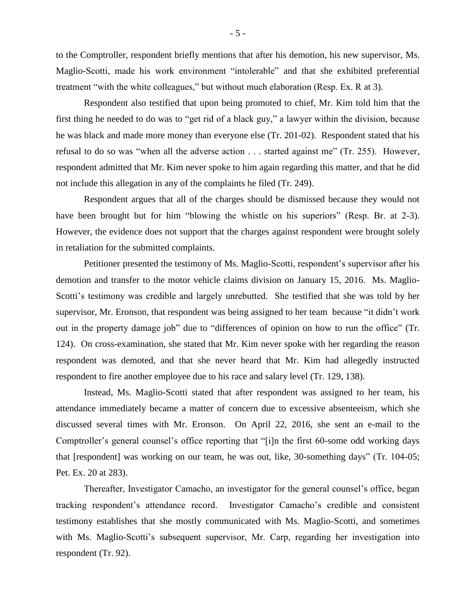to the Comptroller, respondent briefly mentions that after his demotion, his new supervisor, Ms. Maglio-Scotti, made his work environment "intolerable" and that she exhibited preferential treatment "with the white colleagues," but without much elaboration (Resp. Ex. R at 3).

Respondent also testified that upon being promoted to chief, Mr. Kim told him that the first thing he needed to do was to "get rid of a black guy," a lawyer within the division, because he was black and made more money than everyone else (Tr. 201-02). Respondent stated that his refusal to do so was "when all the adverse action . . . started against me" (Tr. 255). However, respondent admitted that Mr. Kim never spoke to him again regarding this matter, and that he did not include this allegation in any of the complaints he filed (Tr. 249).

Respondent argues that all of the charges should be dismissed because they would not have been brought but for him "blowing the whistle on his superiors" (Resp. Br. at 2-3). However, the evidence does not support that the charges against respondent were brought solely in retaliation for the submitted complaints.

Petitioner presented the testimony of Ms. Maglio-Scotti, respondent's supervisor after his demotion and transfer to the motor vehicle claims division on January 15, 2016. Ms. Maglio-Scotti's testimony was credible and largely unrebutted. She testified that she was told by her supervisor, Mr. Eronson, that respondent was being assigned to her team because "it didn't work out in the property damage job" due to "differences of opinion on how to run the office" (Tr. 124). On cross-examination, she stated that Mr. Kim never spoke with her regarding the reason respondent was demoted, and that she never heard that Mr. Kim had allegedly instructed respondent to fire another employee due to his race and salary level (Tr. 129, 138).

Instead, Ms. Maglio-Scotti stated that after respondent was assigned to her team, his attendance immediately became a matter of concern due to excessive absenteeism, which she discussed several times with Mr. Eronson. On April 22, 2016, she sent an e-mail to the Comptroller's general counsel's office reporting that "[i]n the first 60-some odd working days that [respondent] was working on our team, he was out, like, 30-something days" (Tr. 104-05; Pet. Ex. 20 at 283).

Thereafter, Investigator Camacho, an investigator for the general counsel's office, began tracking respondent's attendance record. Investigator Camacho's credible and consistent testimony establishes that she mostly communicated with Ms. Maglio-Scotti, and sometimes with Ms. Maglio-Scotti's subsequent supervisor, Mr. Carp, regarding her investigation into respondent (Tr. 92).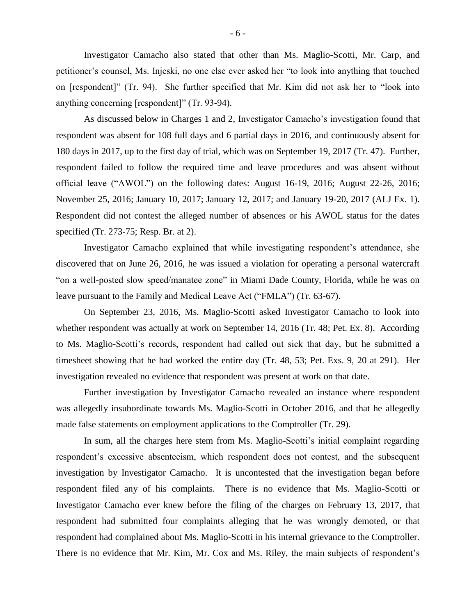Investigator Camacho also stated that other than Ms. Maglio-Scotti, Mr. Carp, and petitioner's counsel, Ms. Injeski, no one else ever asked her "to look into anything that touched on [respondent]" (Tr. 94). She further specified that Mr. Kim did not ask her to "look into anything concerning [respondent]" (Tr. 93-94).

As discussed below in Charges 1 and 2, Investigator Camacho's investigation found that respondent was absent for 108 full days and 6 partial days in 2016, and continuously absent for 180 days in 2017, up to the first day of trial, which was on September 19, 2017 (Tr. 47). Further, respondent failed to follow the required time and leave procedures and was absent without official leave ("AWOL") on the following dates: August 16-19, 2016; August 22-26, 2016; November 25, 2016; January 10, 2017; January 12, 2017; and January 19-20, 2017 (ALJ Ex. 1). Respondent did not contest the alleged number of absences or his AWOL status for the dates specified (Tr. 273-75; Resp. Br. at 2).

Investigator Camacho explained that while investigating respondent's attendance, she discovered that on June 26, 2016, he was issued a violation for operating a personal watercraft "on a well-posted slow speed/manatee zone" in Miami Dade County, Florida, while he was on leave pursuant to the Family and Medical Leave Act ("FMLA") (Tr. 63-67).

On September 23, 2016, Ms. Maglio-Scotti asked Investigator Camacho to look into whether respondent was actually at work on September 14, 2016 (Tr. 48; Pet. Ex. 8). According to Ms. Maglio-Scotti's records, respondent had called out sick that day, but he submitted a timesheet showing that he had worked the entire day (Tr. 48, 53; Pet. Exs. 9, 20 at 291). Her investigation revealed no evidence that respondent was present at work on that date.

Further investigation by Investigator Camacho revealed an instance where respondent was allegedly insubordinate towards Ms. Maglio-Scotti in October 2016, and that he allegedly made false statements on employment applications to the Comptroller (Tr. 29).

In sum, all the charges here stem from Ms. Maglio-Scotti's initial complaint regarding respondent's excessive absenteeism, which respondent does not contest, and the subsequent investigation by Investigator Camacho. It is uncontested that the investigation began before respondent filed any of his complaints. There is no evidence that Ms. Maglio-Scotti or Investigator Camacho ever knew before the filing of the charges on February 13, 2017, that respondent had submitted four complaints alleging that he was wrongly demoted, or that respondent had complained about Ms. Maglio-Scotti in his internal grievance to the Comptroller. There is no evidence that Mr. Kim, Mr. Cox and Ms. Riley, the main subjects of respondent's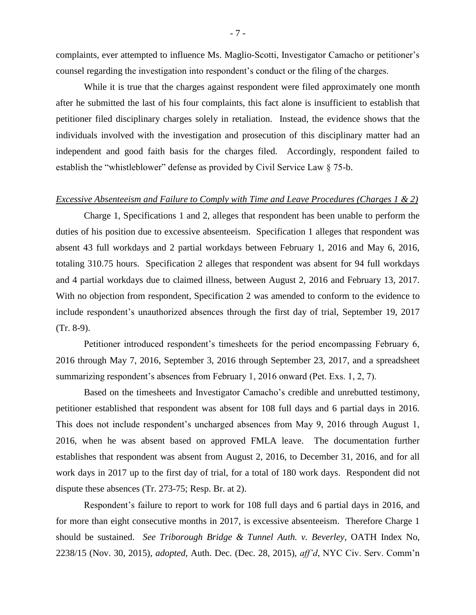complaints, ever attempted to influence Ms. Maglio-Scotti, Investigator Camacho or petitioner's counsel regarding the investigation into respondent's conduct or the filing of the charges.

While it is true that the charges against respondent were filed approximately one month after he submitted the last of his four complaints, this fact alone is insufficient to establish that petitioner filed disciplinary charges solely in retaliation. Instead, the evidence shows that the individuals involved with the investigation and prosecution of this disciplinary matter had an independent and good faith basis for the charges filed. Accordingly, respondent failed to establish the "whistleblower" defense as provided by Civil Service Law § 75-b.

#### *Excessive Absenteeism and Failure to Comply with Time and Leave Procedures (Charges 1 & 2)*

Charge 1, Specifications 1 and 2, alleges that respondent has been unable to perform the duties of his position due to excessive absenteeism. Specification 1 alleges that respondent was absent 43 full workdays and 2 partial workdays between February 1, 2016 and May 6, 2016, totaling 310.75 hours. Specification 2 alleges that respondent was absent for 94 full workdays and 4 partial workdays due to claimed illness, between August 2, 2016 and February 13, 2017. With no objection from respondent, Specification 2 was amended to conform to the evidence to include respondent's unauthorized absences through the first day of trial, September 19, 2017 (Tr. 8-9).

Petitioner introduced respondent's timesheets for the period encompassing February 6, 2016 through May 7, 2016, September 3, 2016 through September 23, 2017, and a spreadsheet summarizing respondent's absences from February 1, 2016 onward (Pet. Exs. 1, 2, 7).

Based on the timesheets and Investigator Camacho's credible and unrebutted testimony, petitioner established that respondent was absent for 108 full days and 6 partial days in 2016. This does not include respondent's uncharged absences from May 9, 2016 through August 1, 2016, when he was absent based on approved FMLA leave. The documentation further establishes that respondent was absent from August 2, 2016, to December 31, 2016, and for all work days in 2017 up to the first day of trial, for a total of 180 work days. Respondent did not dispute these absences (Tr. 273-75; Resp. Br. at 2).

Respondent's failure to report to work for 108 full days and 6 partial days in 2016, and for more than eight consecutive months in 2017, is excessive absenteeism. Therefore Charge 1 should be sustained. *See Triborough Bridge & Tunnel Auth. v. Beverley*, OATH Index No, 2238/15 (Nov. 30, 2015), *adopted*, Auth. Dec. (Dec. 28, 2015), *aff'd*, NYC Civ. Serv. Comm'n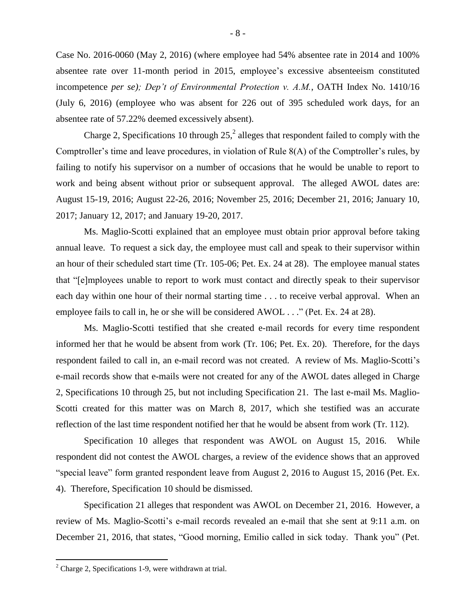Case No. 2016-0060 (May 2, 2016) (where employee had 54% absentee rate in 2014 and 100% absentee rate over 11-month period in 2015, employee's excessive absenteeism constituted incompetence *per se); Dep't of Environmental Protection v. A.M.*, OATH Index No. 1410/16 (July 6, 2016) (employee who was absent for 226 out of 395 scheduled work days, for an absentee rate of 57.22% deemed excessively absent).

Charge 2, Specifications 10 through  $25<sup>2</sup>$ , alleges that respondent failed to comply with the Comptroller's time and leave procedures, in violation of Rule 8(A) of the Comptroller's rules, by failing to notify his supervisor on a number of occasions that he would be unable to report to work and being absent without prior or subsequent approval. The alleged AWOL dates are: August 15-19, 2016; August 22-26, 2016; November 25, 2016; December 21, 2016; January 10, 2017; January 12, 2017; and January 19-20, 2017.

Ms. Maglio-Scotti explained that an employee must obtain prior approval before taking annual leave. To request a sick day, the employee must call and speak to their supervisor within an hour of their scheduled start time (Tr. 105-06; Pet. Ex. 24 at 28). The employee manual states that "[e]mployees unable to report to work must contact and directly speak to their supervisor each day within one hour of their normal starting time . . . to receive verbal approval. When an employee fails to call in, he or she will be considered AWOL . . ." (Pet. Ex. 24 at 28).

Ms. Maglio-Scotti testified that she created e-mail records for every time respondent informed her that he would be absent from work (Tr. 106; Pet. Ex. 20). Therefore, for the days respondent failed to call in, an e-mail record was not created. A review of Ms. Maglio-Scotti's e-mail records show that e-mails were not created for any of the AWOL dates alleged in Charge 2, Specifications 10 through 25, but not including Specification 21. The last e-mail Ms. Maglio-Scotti created for this matter was on March 8, 2017, which she testified was an accurate reflection of the last time respondent notified her that he would be absent from work (Tr. 112).

Specification 10 alleges that respondent was AWOL on August 15, 2016. While respondent did not contest the AWOL charges, a review of the evidence shows that an approved "special leave" form granted respondent leave from August 2, 2016 to August 15, 2016 (Pet. Ex. 4). Therefore, Specification 10 should be dismissed.

Specification 21 alleges that respondent was AWOL on December 21, 2016. However, a review of Ms. Maglio-Scotti's e-mail records revealed an e-mail that she sent at 9:11 a.m. on December 21, 2016, that states, "Good morning, Emilio called in sick today. Thank you" (Pet.

 $2^2$  Charge 2, Specifications 1-9, were withdrawn at trial.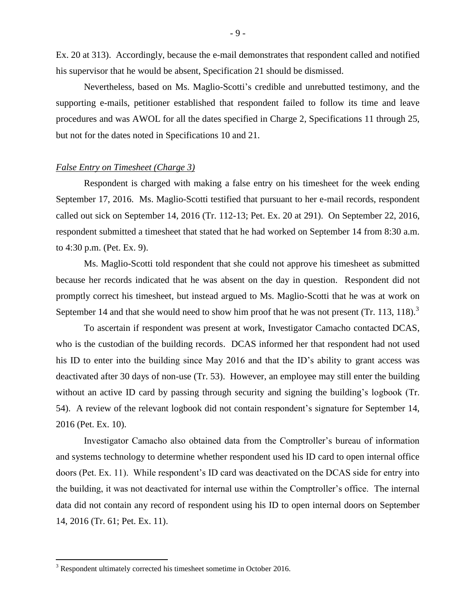Ex. 20 at 313). Accordingly, because the e-mail demonstrates that respondent called and notified his supervisor that he would be absent, Specification 21 should be dismissed.

Nevertheless, based on Ms. Maglio-Scotti's credible and unrebutted testimony, and the supporting e-mails, petitioner established that respondent failed to follow its time and leave procedures and was AWOL for all the dates specified in Charge 2, Specifications 11 through 25, but not for the dates noted in Specifications 10 and 21.

#### *False Entry on Timesheet (Charge 3)*

Respondent is charged with making a false entry on his timesheet for the week ending September 17, 2016. Ms. Maglio-Scotti testified that pursuant to her e-mail records, respondent called out sick on September 14, 2016 (Tr. 112-13; Pet. Ex. 20 at 291). On September 22, 2016, respondent submitted a timesheet that stated that he had worked on September 14 from 8:30 a.m. to 4:30 p.m. (Pet. Ex. 9).

Ms. Maglio-Scotti told respondent that she could not approve his timesheet as submitted because her records indicated that he was absent on the day in question. Respondent did not promptly correct his timesheet, but instead argued to Ms. Maglio-Scotti that he was at work on September 14 and that she would need to show him proof that he was not present (Tr. 113, 118).<sup>3</sup>

To ascertain if respondent was present at work, Investigator Camacho contacted DCAS, who is the custodian of the building records. DCAS informed her that respondent had not used his ID to enter into the building since May 2016 and that the ID's ability to grant access was deactivated after 30 days of non-use (Tr. 53). However, an employee may still enter the building without an active ID card by passing through security and signing the building's logbook (Tr. 54). A review of the relevant logbook did not contain respondent's signature for September 14, 2016 (Pet. Ex. 10).

Investigator Camacho also obtained data from the Comptroller's bureau of information and systems technology to determine whether respondent used his ID card to open internal office doors (Pet. Ex. 11). While respondent's ID card was deactivated on the DCAS side for entry into the building, it was not deactivated for internal use within the Comptroller's office. The internal data did not contain any record of respondent using his ID to open internal doors on September 14, 2016 (Tr. 61; Pet. Ex. 11).

<sup>&</sup>lt;sup>3</sup> Respondent ultimately corrected his timesheet sometime in October 2016.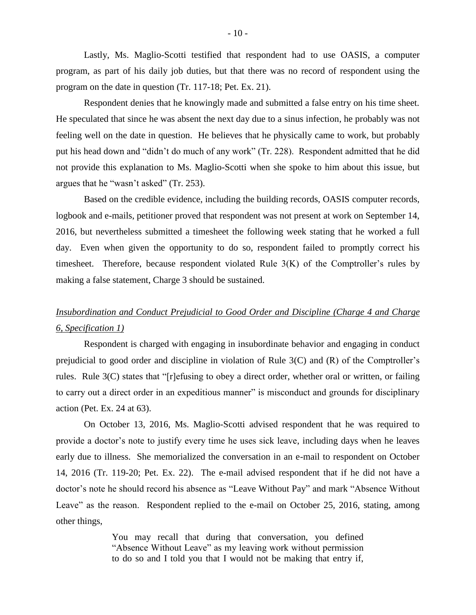Lastly, Ms. Maglio-Scotti testified that respondent had to use OASIS, a computer program, as part of his daily job duties, but that there was no record of respondent using the program on the date in question (Tr. 117-18; Pet. Ex. 21).

Respondent denies that he knowingly made and submitted a false entry on his time sheet. He speculated that since he was absent the next day due to a sinus infection, he probably was not feeling well on the date in question. He believes that he physically came to work, but probably put his head down and "didn't do much of any work" (Tr. 228). Respondent admitted that he did not provide this explanation to Ms. Maglio-Scotti when she spoke to him about this issue, but argues that he "wasn't asked" (Tr. 253).

Based on the credible evidence, including the building records, OASIS computer records, logbook and e-mails, petitioner proved that respondent was not present at work on September 14, 2016, but nevertheless submitted a timesheet the following week stating that he worked a full day. Even when given the opportunity to do so, respondent failed to promptly correct his timesheet. Therefore, because respondent violated Rule  $3(K)$  of the Comptroller's rules by making a false statement, Charge 3 should be sustained.

# *Insubordination and Conduct Prejudicial to Good Order and Discipline (Charge 4 and Charge 6, Specification 1)*

Respondent is charged with engaging in insubordinate behavior and engaging in conduct prejudicial to good order and discipline in violation of Rule 3(C) and (R) of the Comptroller's rules. Rule 3(C) states that "[r]efusing to obey a direct order, whether oral or written, or failing to carry out a direct order in an expeditious manner" is misconduct and grounds for disciplinary action (Pet. Ex. 24 at 63).

On October 13, 2016, Ms. Maglio-Scotti advised respondent that he was required to provide a doctor's note to justify every time he uses sick leave, including days when he leaves early due to illness. She memorialized the conversation in an e-mail to respondent on October 14, 2016 (Tr. 119-20; Pet. Ex. 22). The e-mail advised respondent that if he did not have a doctor's note he should record his absence as "Leave Without Pay" and mark "Absence Without Leave" as the reason. Respondent replied to the e-mail on October 25, 2016, stating, among other things,

> You may recall that during that conversation, you defined "Absence Without Leave" as my leaving work without permission to do so and I told you that I would not be making that entry if,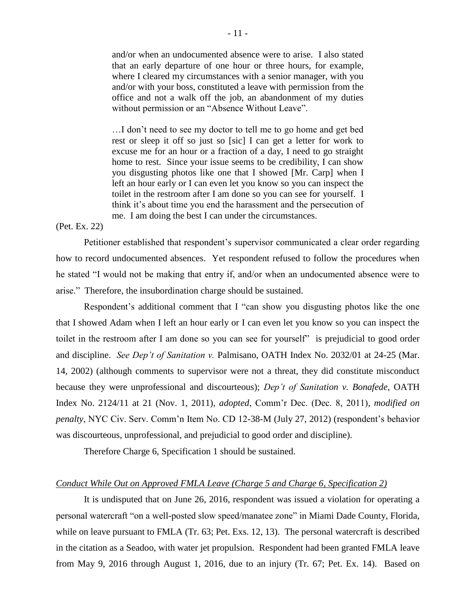and/or when an undocumented absence were to arise. I also stated that an early departure of one hour or three hours, for example, where I cleared my circumstances with a senior manager, with you and/or with your boss, constituted a leave with permission from the office and not a walk off the job, an abandonment of my duties without permission or an "Absence Without Leave".

…I don't need to see my doctor to tell me to go home and get bed rest or sleep it off so just so [sic] I can get a letter for work to excuse me for an hour or a fraction of a day, I need to go straight home to rest. Since your issue seems to be credibility, I can show you disgusting photos like one that I showed [Mr. Carp] when I left an hour early or I can even let you know so you can inspect the toilet in the restroom after I am done so you can see for yourself. I think it's about time you end the harassment and the persecution of me. I am doing the best I can under the circumstances.

### (Pet. Ex. 22)

Petitioner established that respondent's supervisor communicated a clear order regarding how to record undocumented absences. Yet respondent refused to follow the procedures when he stated "I would not be making that entry if, and/or when an undocumented absence were to arise." Therefore, the insubordination charge should be sustained.

Respondent's additional comment that I "can show you disgusting photos like the one that I showed Adam when I left an hour early or I can even let you know so you can inspect the toilet in the restroom after I am done so you can see for yourself" is prejudicial to good order and discipline. *See Dep't of Sanitation v.* Palmisano, OATH Index No. 2032/01 at 24-25 (Mar. 14, 2002) (although comments to supervisor were not a threat, they did constitute misconduct because they were unprofessional and discourteous); *Dep't of Sanitation v. Bonafede*, OATH Index No. 2124/11 at 21 (Nov. 1, 2011)*, adopted*, Comm'r Dec. (Dec. 8, 2011)*, modified on penalty*, NYC Civ. Serv. Comm'n Item No. CD 12-38-M (July 27, 2012) (respondent's behavior was discourteous, unprofessional, and prejudicial to good order and discipline).

Therefore Charge 6, Specification 1 should be sustained.

## *Conduct While Out on Approved FMLA Leave (Charge 5 and Charge 6, Specification 2)*

It is undisputed that on June 26, 2016, respondent was issued a violation for operating a personal watercraft "on a well-posted slow speed/manatee zone" in Miami Dade County, Florida, while on leave pursuant to FMLA (Tr. 63; Pet. Exs. 12, 13). The personal watercraft is described in the citation as a Seadoo, with water jet propulsion. Respondent had been granted FMLA leave from May 9, 2016 through August 1, 2016, due to an injury (Tr. 67; Pet. Ex. 14). Based on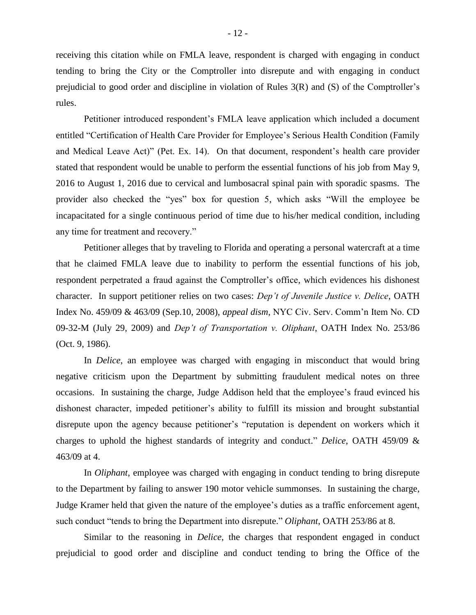receiving this citation while on FMLA leave, respondent is charged with engaging in conduct tending to bring the City or the Comptroller into disrepute and with engaging in conduct prejudicial to good order and discipline in violation of Rules 3(R) and (S) of the Comptroller's rules.

Petitioner introduced respondent's FMLA leave application which included a document entitled "Certification of Health Care Provider for Employee's Serious Health Condition (Family and Medical Leave Act)" (Pet. Ex. 14). On that document, respondent's health care provider stated that respondent would be unable to perform the essential functions of his job from May 9, 2016 to August 1, 2016 due to cervical and lumbosacral spinal pain with sporadic spasms. The provider also checked the "yes" box for question 5, which asks "Will the employee be incapacitated for a single continuous period of time due to his/her medical condition, including any time for treatment and recovery."

Petitioner alleges that by traveling to Florida and operating a personal watercraft at a time that he claimed FMLA leave due to inability to perform the essential functions of his job, respondent perpetrated a fraud against the Comptroller's office, which evidences his dishonest character. In support petitioner relies on two cases: *Dep't of Juvenile Justice v. Delice*, OATH Index No. 459/09 & 463/09 (Sep.10, 2008), *appeal dism*, NYC Civ. Serv. Comm'n Item No. CD 09-32-M (July 29, 2009) and *Dep't of Transportation v. Oliphant*, OATH Index No. 253/86 (Oct. 9, 1986).

In *Delice*, an employee was charged with engaging in misconduct that would bring negative criticism upon the Department by submitting fraudulent medical notes on three occasions. In sustaining the charge, Judge Addison held that the employee's fraud evinced his dishonest character, impeded petitioner's ability to fulfill its mission and brought substantial disrepute upon the agency because petitioner's "reputation is dependent on workers which it charges to uphold the highest standards of integrity and conduct." *Delice*, OATH 459/09 & 463/09 at 4.

In *Oliphant*, employee was charged with engaging in conduct tending to bring disrepute to the Department by failing to answer 190 motor vehicle summonses. In sustaining the charge, Judge Kramer held that given the nature of the employee's duties as a traffic enforcement agent, such conduct "tends to bring the Department into disrepute." *Oliphant*, OATH 253/86 at 8.

Similar to the reasoning in *Delice*, the charges that respondent engaged in conduct prejudicial to good order and discipline and conduct tending to bring the Office of the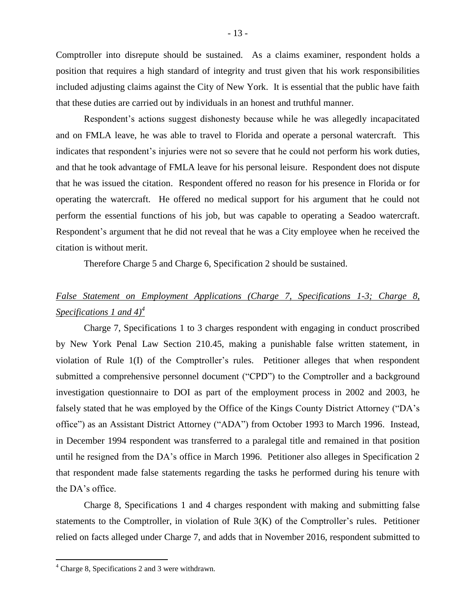Comptroller into disrepute should be sustained. As a claims examiner, respondent holds a position that requires a high standard of integrity and trust given that his work responsibilities included adjusting claims against the City of New York. It is essential that the public have faith that these duties are carried out by individuals in an honest and truthful manner.

Respondent's actions suggest dishonesty because while he was allegedly incapacitated and on FMLA leave, he was able to travel to Florida and operate a personal watercraft. This indicates that respondent's injuries were not so severe that he could not perform his work duties, and that he took advantage of FMLA leave for his personal leisure. Respondent does not dispute that he was issued the citation. Respondent offered no reason for his presence in Florida or for operating the watercraft. He offered no medical support for his argument that he could not perform the essential functions of his job, but was capable to operating a Seadoo watercraft. Respondent's argument that he did not reveal that he was a City employee when he received the citation is without merit.

Therefore Charge 5 and Charge 6, Specification 2 should be sustained.

# *False Statement on Employment Applications (Charge 7, Specifications 1-3; Charge 8, Specifications 1 and 4)<sup>4</sup>*

Charge 7, Specifications 1 to 3 charges respondent with engaging in conduct proscribed by New York Penal Law Section 210.45, making a punishable false written statement, in violation of Rule 1(I) of the Comptroller's rules. Petitioner alleges that when respondent submitted a comprehensive personnel document ("CPD") to the Comptroller and a background investigation questionnaire to DOI as part of the employment process in 2002 and 2003, he falsely stated that he was employed by the Office of the Kings County District Attorney ("DA's office") as an Assistant District Attorney ("ADA") from October 1993 to March 1996. Instead, in December 1994 respondent was transferred to a paralegal title and remained in that position until he resigned from the DA's office in March 1996. Petitioner also alleges in Specification 2 that respondent made false statements regarding the tasks he performed during his tenure with the DA's office.

Charge 8, Specifications 1 and 4 charges respondent with making and submitting false statements to the Comptroller, in violation of Rule 3(K) of the Comptroller's rules. Petitioner relied on facts alleged under Charge 7, and adds that in November 2016, respondent submitted to

 $4$  Charge 8, Specifications 2 and 3 were withdrawn.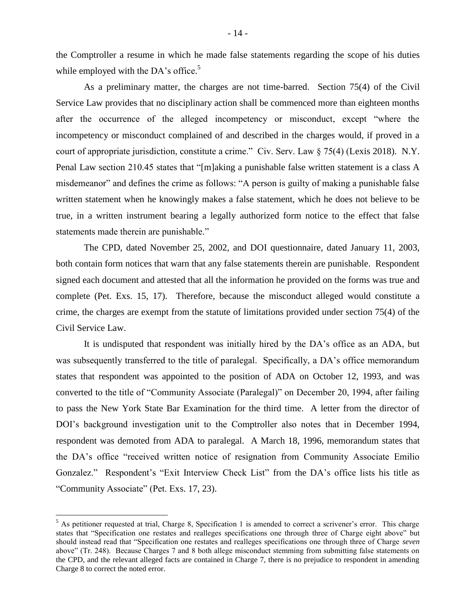the Comptroller a resume in which he made false statements regarding the scope of his duties while employed with the DA's office.<sup>5</sup>

As a preliminary matter, the charges are not time-barred. Section 75(4) of the Civil Service Law provides that no disciplinary action shall be commenced more than eighteen months after the occurrence of the alleged incompetency or misconduct, except "where the incompetency or misconduct complained of and described in the charges would, if proved in a court of appropriate jurisdiction, constitute a crime." Civ. Serv. Law § 75(4) (Lexis 2018). N.Y. Penal Law section 210.45 states that "[m]aking a punishable false written statement is a class A misdemeanor" and defines the crime as follows: "A person is guilty of making a punishable false written statement when he knowingly makes a false statement, which he does not believe to be true, in a written instrument bearing a legally authorized form notice to the effect that false statements made therein are punishable."

The CPD, dated November 25, 2002, and DOI questionnaire, dated January 11, 2003, both contain form notices that warn that any false statements therein are punishable. Respondent signed each document and attested that all the information he provided on the forms was true and complete (Pet. Exs. 15, 17). Therefore, because the misconduct alleged would constitute a crime, the charges are exempt from the statute of limitations provided under section 75(4) of the Civil Service Law.

It is undisputed that respondent was initially hired by the DA's office as an ADA, but was subsequently transferred to the title of paralegal. Specifically, a DA's office memorandum states that respondent was appointed to the position of ADA on October 12, 1993, and was converted to the title of "Community Associate (Paralegal)" on December 20, 1994, after failing to pass the New York State Bar Examination for the third time. A letter from the director of DOI's background investigation unit to the Comptroller also notes that in December 1994, respondent was demoted from ADA to paralegal. A March 18, 1996, memorandum states that the DA's office "received written notice of resignation from Community Associate Emilio Gonzalez." Respondent's "Exit Interview Check List" from the DA's office lists his title as "Community Associate" (Pet. Exs. 17, 23).

 $<sup>5</sup>$  As petitioner requested at trial, Charge 8, Specification 1 is amended to correct a scrivener's error. This charge</sup> states that "Specification one restates and realleges specifications one through three of Charge eight above" but should instead read that "Specification one restates and realleges specifications one through three of Charge *seven* above" (Tr. 248). Because Charges 7 and 8 both allege misconduct stemming from submitting false statements on the CPD, and the relevant alleged facts are contained in Charge 7, there is no prejudice to respondent in amending Charge 8 to correct the noted error.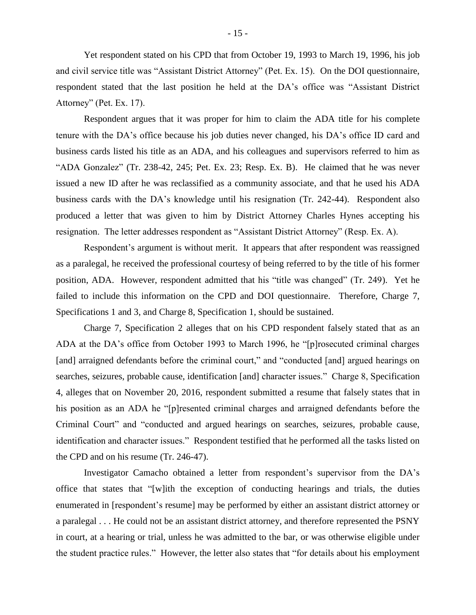Yet respondent stated on his CPD that from October 19, 1993 to March 19, 1996, his job and civil service title was "Assistant District Attorney" (Pet. Ex. 15). On the DOI questionnaire, respondent stated that the last position he held at the DA's office was "Assistant District Attorney" (Pet. Ex. 17).

Respondent argues that it was proper for him to claim the ADA title for his complete tenure with the DA's office because his job duties never changed, his DA's office ID card and business cards listed his title as an ADA, and his colleagues and supervisors referred to him as "ADA Gonzalez" (Tr. 238-42, 245; Pet. Ex. 23; Resp. Ex. B). He claimed that he was never issued a new ID after he was reclassified as a community associate, and that he used his ADA business cards with the DA's knowledge until his resignation (Tr. 242-44). Respondent also produced a letter that was given to him by District Attorney Charles Hynes accepting his resignation. The letter addresses respondent as "Assistant District Attorney" (Resp. Ex. A).

Respondent's argument is without merit. It appears that after respondent was reassigned as a paralegal, he received the professional courtesy of being referred to by the title of his former position, ADA. However, respondent admitted that his "title was changed" (Tr. 249). Yet he failed to include this information on the CPD and DOI questionnaire. Therefore, Charge 7, Specifications 1 and 3, and Charge 8, Specification 1, should be sustained.

Charge 7, Specification 2 alleges that on his CPD respondent falsely stated that as an ADA at the DA's office from October 1993 to March 1996, he "[p]rosecuted criminal charges [and] arraigned defendants before the criminal court," and "conducted [and] argued hearings on searches, seizures, probable cause, identification [and] character issues." Charge 8, Specification 4, alleges that on November 20, 2016, respondent submitted a resume that falsely states that in his position as an ADA he "[p]resented criminal charges and arraigned defendants before the Criminal Court" and "conducted and argued hearings on searches, seizures, probable cause, identification and character issues." Respondent testified that he performed all the tasks listed on the CPD and on his resume (Tr. 246-47).

Investigator Camacho obtained a letter from respondent's supervisor from the DA's office that states that "[w]ith the exception of conducting hearings and trials, the duties enumerated in [respondent's resume] may be performed by either an assistant district attorney or a paralegal . . . He could not be an assistant district attorney, and therefore represented the PSNY in court, at a hearing or trial, unless he was admitted to the bar, or was otherwise eligible under the student practice rules." However, the letter also states that "for details about his employment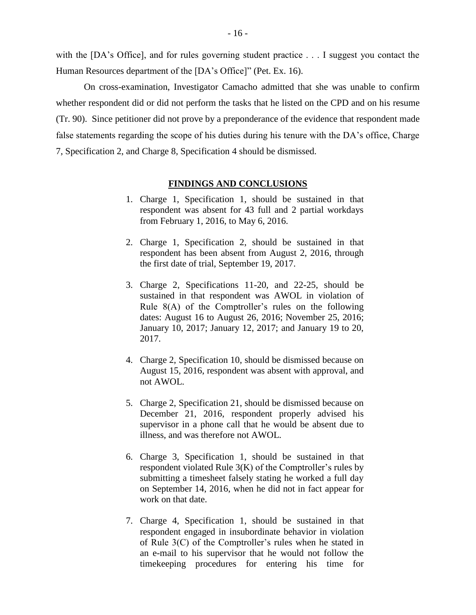with the [DA's Office], and for rules governing student practice . . . I suggest you contact the Human Resources department of the [DA's Office]" (Pet. Ex. 16).

On cross-examination, Investigator Camacho admitted that she was unable to confirm whether respondent did or did not perform the tasks that he listed on the CPD and on his resume (Tr. 90). Since petitioner did not prove by a preponderance of the evidence that respondent made false statements regarding the scope of his duties during his tenure with the DA's office, Charge 7, Specification 2, and Charge 8, Specification 4 should be dismissed.

#### **FINDINGS AND CONCLUSIONS**

- 1. Charge 1, Specification 1, should be sustained in that respondent was absent for 43 full and 2 partial workdays from February 1, 2016, to May 6, 2016.
- 2. Charge 1, Specification 2, should be sustained in that respondent has been absent from August 2, 2016, through the first date of trial, September 19, 2017.
- 3. Charge 2, Specifications 11-20, and 22-25, should be sustained in that respondent was AWOL in violation of Rule 8(A) of the Comptroller's rules on the following dates: August 16 to August 26, 2016; November 25, 2016; January 10, 2017; January 12, 2017; and January 19 to 20, 2017.
- 4. Charge 2, Specification 10, should be dismissed because on August 15, 2016, respondent was absent with approval, and not AWOL.
- 5. Charge 2, Specification 21, should be dismissed because on December 21, 2016, respondent properly advised his supervisor in a phone call that he would be absent due to illness, and was therefore not AWOL.
- 6. Charge 3, Specification 1, should be sustained in that respondent violated Rule  $3(K)$  of the Comptroller's rules by submitting a timesheet falsely stating he worked a full day on September 14, 2016, when he did not in fact appear for work on that date.
- 7. Charge 4, Specification 1, should be sustained in that respondent engaged in insubordinate behavior in violation of Rule 3(C) of the Comptroller's rules when he stated in an e-mail to his supervisor that he would not follow the timekeeping procedures for entering his time for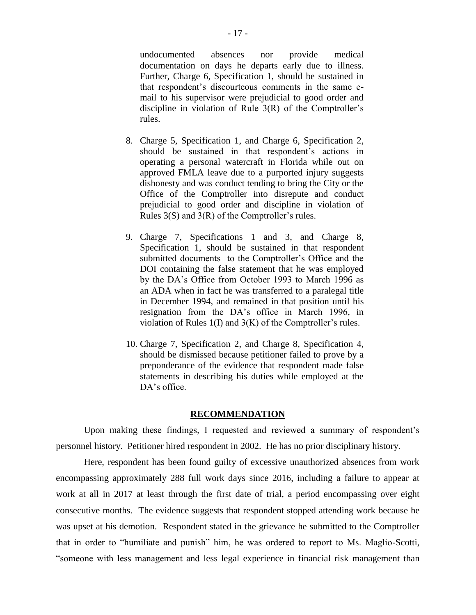undocumented absences nor provide medical documentation on days he departs early due to illness. Further, Charge 6, Specification 1, should be sustained in that respondent's discourteous comments in the same email to his supervisor were prejudicial to good order and discipline in violation of Rule 3(R) of the Comptroller's rules.

- 8. Charge 5, Specification 1, and Charge 6, Specification 2, should be sustained in that respondent's actions in operating a personal watercraft in Florida while out on approved FMLA leave due to a purported injury suggests dishonesty and was conduct tending to bring the City or the Office of the Comptroller into disrepute and conduct prejudicial to good order and discipline in violation of Rules 3(S) and 3(R) of the Comptroller's rules.
- 9. Charge 7, Specifications 1 and 3, and Charge 8, Specification 1, should be sustained in that respondent submitted documents to the Comptroller's Office and the DOI containing the false statement that he was employed by the DA's Office from October 1993 to March 1996 as an ADA when in fact he was transferred to a paralegal title in December 1994, and remained in that position until his resignation from the DA's office in March 1996, in violation of Rules 1(I) and 3(K) of the Comptroller's rules.
- 10. Charge 7, Specification 2, and Charge 8, Specification 4, should be dismissed because petitioner failed to prove by a preponderance of the evidence that respondent made false statements in describing his duties while employed at the DA's office.

### **RECOMMENDATION**

Upon making these findings, I requested and reviewed a summary of respondent's personnel history. Petitioner hired respondent in 2002. He has no prior disciplinary history.

Here, respondent has been found guilty of excessive unauthorized absences from work encompassing approximately 288 full work days since 2016, including a failure to appear at work at all in 2017 at least through the first date of trial, a period encompassing over eight consecutive months. The evidence suggests that respondent stopped attending work because he was upset at his demotion. Respondent stated in the grievance he submitted to the Comptroller that in order to "humiliate and punish" him, he was ordered to report to Ms. Maglio-Scotti, "someone with less management and less legal experience in financial risk management than